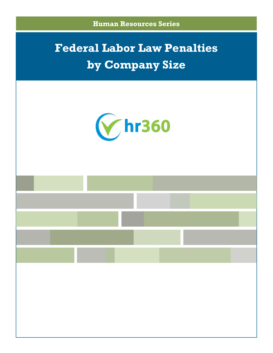

# **Federal Labor Law Penalties by Company Size**

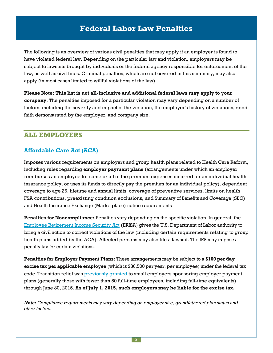The following is an overview of various civil penalties that may apply if an employer is found to have violated federal law. Depending on the particular law and violation, employers may be subject to lawsuits brought by individuals or the federal agency responsible for enforcement of the law, as well as civil fines. Criminal penalties, which are not covered in this summary, may also apply (in most cases limited to willful violations of the law).

**Please Note: This list is not all-inclusive and additional federal laws may apply to your company**. The penalties imposed for a particular violation may vary depending on a number of factors, including the severity and impact of the violation, the employer's history of violations, good faith demonstrated by the employer, and company size.

## **ALL EMPLOYERS**

## **[Affordable Care Act \(ACA\)](http://www.dol.gov/ebsa/healthreform/)**

Imposes various requirements on employers and group health plans related to Health Care Reform, including rules regarding **employer payment plans** (arrangements under which an employer reimburses an employee for some or all of the premium expenses incurred for an individual health insurance policy, or uses its funds to directly pay the premium for an individual policy), dependent coverage to age 26, lifetime and annual limits, coverage of preventive services, limits on health FSA contributions, preexisting condition exclusions, and Summary of Benefits and Coverage (SBC) and Health Insurance Exchange (Marketplace) notice requirements

**Penalties for Noncompliance:** Penalties vary depending on the specific violation. In general, the [Employee Retirement Income Security Act](http://www.dol.gov/compliance/guide/erisa.htm#Penalites) (ERISA) gives the U.S. Department of Labor authority to bring a civil action to correct violations of the law (including certain requirements relating to group health plans added by the ACA). Affected persons may also file a lawsuit. The IRS may impose a penalty tax for certain violations.

**Penalties for Employer Payment Plans:** These arrangements may be subject to a **\$100 per day excise tax per applicable employee** (which is \$36,500 per year, per employee) under the federal tax code. Transition relief was [previously granted](http://www.irs.gov/pub/irs-drop/n-15-17.pdf) to small employers sponsoring employer payment plans (generally those with fewer than 50 full-time employees, including full-time equivalents) through June 30, 2015. **As of July 1, 2015, such employers may be liable for the excise tax.**

*Note: Compliance requirements may vary depending on employer size, grandfathered plan status and other factors.*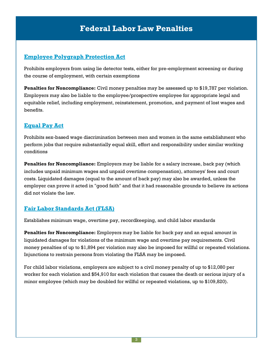## **[Employee Polygraph Protection Act](http://www.dol.gov/compliance/guide/eppa.htm#Penalites)**

Prohibits employers from using lie detector tests, either for pre-employment screening or during the course of employment, with certain exemptions

**Penalties for Noncompliance:** Civil money penalties may be assessed up to \$19,787 per violation. Employers may also be liable to the employee/prospective employee for appropriate legal and equitable relief, including employment, reinstatement, promotion, and payment of lost wages and benefits.

## **[Equal Pay Act](http://www.eeoc.gov/policy/docs/compensation.html#10-VI RELIEF)**

Prohibits sex-based wage discrimination between men and women in the same establishment who perform jobs that require substantially equal skill, effort and responsibility under similar working conditions

**Penalties for Noncompliance:** Employers may be liable for a salary increase, back pay (which includes unpaid minimum wages and unpaid overtime compensation), attorneys' fees and court costs. Liquidated damages (equal to the amount of back pay) may also be awarded, unless the employer can prove it acted in "good faith" and that it had reasonable grounds to believe its actions did not violate the law.

## **[Fair Labor Standards Act \(FLSA\)](http://www.dol.gov/compliance/guide/minwage.htm#Penalites)**

Establishes minimum wage, overtime pay, recordkeeping, and child labor standards

**Penalties for Noncompliance:** Employers may be liable for back pay and an equal amount in liquidated damages for violations of the minimum wage and overtime pay requirements. Civil money penalties of up to \$1,894 per violation may also be imposed for willful or repeated violations. Injunctions to restrain persons from violating the FLSA may be imposed.

For child labor violations, employers are subject to a civil money penalty of up to \$12,080 per worker for each violation and \$54,910 for each violation that causes the death or serious injury of a minor employee (which may be doubled for willful or repeated violations, up to \$109,820).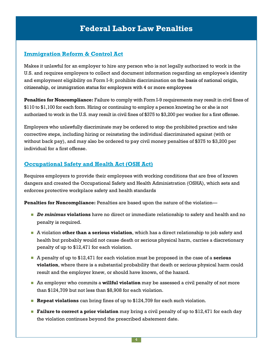### **[Immigration Reform & Control Act](http://www.uscis.gov/i-9-central/penalties)**

Makes it unlawful for an employer to hire any person who is not legally authorized to work in the U.S. and requires employers to collect and document information regarding an employee's identity and employment eligibility on Form I-9; prohibits discrimination on the basis of national origin, citizenship, or immigration status for employers with 4 or more employees

**Penalties for Noncompliance:** Failure to comply with Form I-9 requirements may result in civil fines of \$110 to \$1,100 for each form. Hiring or continuing to employ a person knowing he or she is not authorized to work in the U.S. may result in civil fines of \$375 to \$3,200 per worker for a first offense.

Employers who unlawfully discriminate may be ordered to stop the prohibited practice and take corrective steps, including hiring or reinstating the individual discriminated against (with or without back pay), and may also be ordered to pay civil money penalties of \$375 to \$3,200 per individual for a first offense.

#### **[Occupational Safety and Health Act \(OSH Act\)](http://www.dol.gov/compliance/guide/osha.htm#Penalites)**

Requires employers to provide their employees with working conditions that are free of known dangers and created the Occupational Safety and Health Administration (OSHA), which sets and enforces protective workplace safety and health standards

**Penalties for Noncompliance:** Penalties are based upon the nature of the violation—

- *De minimus* **violations** have no direct or immediate relationship to safety and health and no penalty is required.
- <sup>A</sup> violation **other than a serious violation**, which has a direct relationship to job safety and health but probably would not cause death or serious physical harm, carries a discretionary penalty of up to \$12,471 for each violation.
- A penalty of up to \$12,471 for each violation must be proposed in the case of a **serious violation**, where there is a substantial probability that death or serious physical harm could result and the employer knew, or should have known, of the hazard.
- **A** An employer who commits a **willful violation** may be assessed a civil penalty of not more than \$124,709 but not less than \$8,908 for each violation.
- **Repeat violations** can bring fines of up to \$124,709 for each such violation.
- **Failure to correct a prior violation** may bring a civil penalty of up to \$12,471 for each day the violation continues beyond the prescribed abatement date.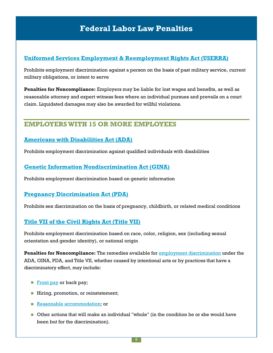#### **[Uniformed Services Employment & Reemployment Rights Act \(USERRA\)](http://www.dol.gov/compliance/guide/userra.htm#Penalites)**

Prohibits employment discrimination against a person on the basis of past military service, current military obligations, or intent to serve

**Penalties for Noncompliance:** Employers may be liable for lost wages and benefits, as well as reasonable attorney and expert witness fees where an individual pursues and prevails on a court claim. Liquidated damages may also be awarded for willful violations.

# **EMPLOYERS WITH 15 OR MORE EMPLOYEES**

#### **[Americans with Disabilities Act \(ADA\)](http://www.eeoc.gov/employers/remedies.cfm)**

Prohibits employment discrimination against qualified individuals with disabilities

#### **[Genetic Information Nondiscrimination Act \(GINA\)](https://www.eeoc.gov/employers/remedies.cfm)**

Prohibits employment discrimination based on genetic information

#### **[Pregnancy Discrimination Act \(PDA\)](http://www.eeoc.gov/employers/remedies.cfm)**

Prohibits sex discrimination on the basis of pregnancy, childbirth, or related medical conditions

#### **[Title VII of the Civil Rights Act \(Title VII\)](http://www.eeoc.gov/employers/remedies.cfm)**

Prohibits employment discrimination based on race, color, religion, sex (including sexual orientation and gender identity), or national origin

**Penalties for Noncompliance:** The remedies available for [employment discrimination](http://www.eeoc.gov/facts/qanda.html) under the ADA, GINA, PDA, and Title VII, whether caused by intentional acts or by practices that have a discriminatory effect, may include:

- [Front pay](http://www.eeoc.gov/federal/digest/xi-7-4.cfm) or back pay;
- Hiring, promotion, or reinstatement;
- [Reasonable accommodation;](http://www.eeoc.gov/policy/docs/accommodation.html) or
- Other actions that will make an individual "whole" (in the condition he or she would have been but for the discrimination).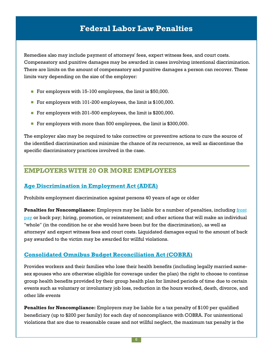Remedies also may include payment of attorneys' fees, expert witness fees, and court costs. Compensatory and punitive damages may be awarded in cases involving intentional discrimination. There are limits on the amount of compensatory and punitive damages a person can recover. These limits vary depending on the size of the employer:

- For employers with 15-100 employees, the limit is \$50,000.
- For employers with 101-200 employees, the limit is \$100,000.
- For employers with 201-500 employees, the limit is \$200,000.
- For employers with more than 500 employees, the limit is \$300,000.

The employer also may be required to take corrective or preventive actions to cure the source of the identified discrimination and minimize the chance of its recurrence, as well as discontinue the specific discriminatory practices involved in the case.

# **EMPLOYERS WITH 20 OR MORE EMPLOYEES**

#### **[Age Discrimination in Employment Act \(ADEA\)](http://www.eeoc.gov/employers/remedies.cfm)**

Prohibits employment discrimination against persons 40 years of age or older

**Penalties for Noncompliance:** Employers may be liable for a number of penalties, including front [pay](http://www.eeoc.gov/federal/digest/xi-7-4.cfm) or back pay; hiring, promotion, or reinstatement; and other actions that will make an individual "whole" (in the condition he or she would have been but for the discrimination), as well as attorneys' and expert witness fees and court costs. Liquidated damages equal to the amount of back pay awarded to the victim may be awarded for willful violations.

#### **[Consolidated Omnibus Budget Reconciliation Act \(COBRA\)](http://www.irs.gov/Businesses/Small-Businesses-&-Self-Employed/Audit-Techniques-and-Tax-Law-to-Examine-COBRA-Cases-Continuation-of-Employee-Health-Care-Coverage#_Toc_272)**

Provides workers and their families who lose their health benefits (including legally married samesex spouses who are otherwise eligible for coverage under the plan) the right to choose to continue group health benefits provided by their group health plan for limited periods of time due to certain events such as voluntary or involuntary job loss, reduction in the hours worked, death, divorce, and other life events

**Penalties for Noncompliance:** Employers may be liable for a tax penalty of \$100 per qualified beneficiary (up to \$200 per family) for each day of noncompliance with COBRA. For unintentional violations that are due to reasonable cause and not willful neglect, the maximum tax penalty is the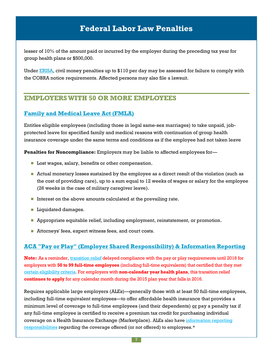lesser of 10% of the amount paid or incurred by the employer during the preceding tax year for group health plans or \$500,000.

Under [ERISA,](http://www.dol.gov/ebsa/compliance_assistance.html) civil money penalties up to \$110 per day may be assessed for failure to comply with the COBRA notice requirements. Affected persons may also file a lawsuit.

## **EMPLOYERS WITH 50 OR MORE EMPLOYEES**

#### **[Family and Medical Leave Act \(FMLA\)](http://www.gpo.gov/fdsys/pkg/USCODE-2011-title29/html/USCODE-2011-title29-chap28-subchapI-sec2617.htm)**

Entitles eligible employees (including those in legal same-sex marriages) to take unpaid, jobprotected leave for specified family and medical reasons with continuation of group health insurance coverage under the same terms and conditions as if the employee had not taken leave

**Penalties for Noncompliance:** Employers may be liable to affected employees for—

- **Lost wages, salary, benefits or other compensation.**
- Actual monetary losses sustained by the employee as a direct result of the violation (such as the cost of providing care), up to a sum equal to 12 weeks of wages or salary for the employee (26 weeks in the case of military caregiver leave).
- Interest on the above amounts calculated at the prevailing rate.
- **Liquidated damages.**
- **Appropriate equitable relief, including employment, reinstatement, or promotion.**
- Attorneys' fees, expert witness fees, and court costs.

#### **[ACA "Pay or Play" \(Employer Shared Responsibility\) & Information Reporting](https://www.irs.gov/affordable-care-act/employers/aca-information-center-for-applicable-large-employers-ales)**

**Note:** As a reminder, [transition relief](https://www.irs.gov/Affordable-Care-Act/Employers/Transition-Relief) delayed compliance with the pay or play requirements until 2016 for employers with **50 to 99 full-time employees** (including full-time equivalents) that certified that they met [certain eligibility criteria.](http://www.irs.gov/uac/Newsroom/Questions-and-Answers-on-Employer-Shared-Responsibility-Provisions-Under-the-Affordable-Care-Act#Transition) For employers with **non-calendar year health plans**, this transition relief **continues to apply** for any calendar month during the 2015 plan year that falls in 2016.

Requires applicable large employers (ALEs)—generally those with at least 50 full-time employees, including full-time equivalent employees—to offer affordable health insurance that provides a minimum level of coverage to full-time employees (and their dependents)  $\alpha r$  pay a penalty tax if any full-time employee is certified to receive a premium tax credit for purchasing individual coverage on a Health Insurance Exchange (Marketplace). ALEs also have [information reporting](https://www.irs.gov/Affordable-Care-Act/Employers/Information-Reporting-by-Applicable-Large-Employers)  [responsibilities](https://www.irs.gov/Affordable-Care-Act/Employers/Information-Reporting-by-Applicable-Large-Employers) regarding the coverage offered (or not offered) to employees.\*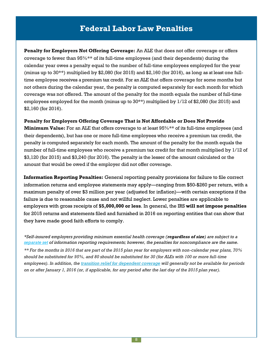**Penalty for Employers Not Offering Coverage:** An ALE that does not offer coverage or offers coverage to fewer than 95%\*\* of its full-time employees (and their dependents) during the calendar year owes a penalty equal to the number of full-time employees employed for the year (minus up to  $30***$ ) multiplied by  $$2,080$  (for  $2015$ ) and  $$2,160$  (for  $2016$ ), as long as at least one fulltime employee receives a premium tax credit. For an ALE that offers coverage for some months but not others during the calendar year, the penalty is computed separately for each month for which coverage was not offered. The amount of the penalty for the month equals the number of full-time employees employed for the month (minus up to  $30**$ ) multiplied by  $1/12$  of \$2,080 (for 2015) and \$2,160 (for 2016).

#### **Penalty for Employers Offering Coverage That is Not Affordable or Does Not Provide**

**Minimum Value:** For an ALE that offers coverage to at least 95%\*\* of its full-time employees (and their dependents), but has one or more full-time employees who receive a premium tax credit, the penalty is computed separately for each month. The amount of the penalty for the month equals the number of full-time employees who receive a premium tax credit for that month multiplied by 1/12 of \$3,120 (for 2015) and \$3,240 (for 2016). The penalty is the lesser of the amount calculated or the amount that would be owed if the employer did not offer coverage.

**Information Reporting Penalties:** General reporting penalty provisions for failure to file correct information returns and employee statements may apply—ranging from \$50-\$260 per return, with a maximum penalty of over \$3 million per year (adjusted for inflation)—with certain exceptions if the failure is due to reasonable cause and not willful neglect. Lower penalties are applicable to employers with gross receipts of **\$5,000,000 or less**. In general, the IRS **will not impose penalties** for 2015 returns and statements filed and furnished in 2016 on reporting entities that can show that they have made good faith efforts to comply.

*\*Self-insured employers providing minimum essential health coverage (regardless of size) are subject to a [separate set](https://www.irs.gov/Affordable-Care-Act/Employers/Information-Reporting-by-Providers-of-Minimum-Essential-Coverage#top) of information reporting requirements; however, the penalties for noncompliance are the same.*

*\*\* For the months in 2016 that are part of the 2015 plan year for employers with non-calendar year plans, 70% should be substituted for 95%, and 80 should be substituted for 30 (for ALEs with 100 or more full-time employees). In addition, th[e transition relief for dependent](http://www.irs.gov/uac/Newsroom/Questions-and-Answers-on-Employer-Shared-Responsibility-Provisions-Under-the-Affordable-Care-Act#Transition) coverage will generally not be available for periods on or after January 1, 2016 (or, if applicable, for any period after the last day of the 2015 plan year).*